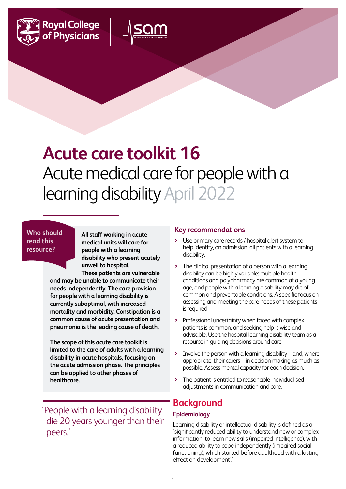



# **Acute care toolkit 16** Acute medical care for people with a learning disability April 2022

#### **Who should read this resource?**

**All staff working in acute medical units will care for people with a learning disability who present acutely unwell to hospital.** 

**These patients are vulnerable and may be unable to communicate their needs independently. The care provision for people with a learning disability is currently suboptimal, with increased mortality and morbidity. Constipation is a common cause of acute presentation and pneumonia is the leading cause of death.**

**The scope of this acute care toolkit is limited to the care of adults with a learning disability in acute hospitals, focusing on the acute admission phase. The principles can be applied to other phases of healthcare.**

'People with a learning disability die 20 years younger than their peers.'

#### **Key recommendations**

- **>** Use primary care records / hospital alert system to help identify, on admission, all patients with a learning disability.
- **>** The clinical presentation of a person with a learning disability can be highly variable: multiple health conditions and polypharmacy are common at a young age, and people with a learning disability may die of common and preventable conditions. A specific focus on assessing and meeting the care needs of these patients is required.
- **>** Professional uncertainty when faced with complex patients is common, and seeking help is wise and advisable. Use the hospital learning disability team as a resource in guiding decisions around care.
- **>** Involve the person with a learning disability and, where appropriate, their carers – in decision making as much as possible. Assess mental capacity for each decision.
- **>** The patient is entitled to reasonable individualised adjustments in communication and care.

### **Background**

#### **Epidemiology**

Learning disability or intellectual disability is defined as a 'significantly reduced ability to understand new or complex information, to learn new skills (impaired intelligence), with a reduced ability to cope independently (impaired social functioning), which started before adulthood with a lasting effect on development'.1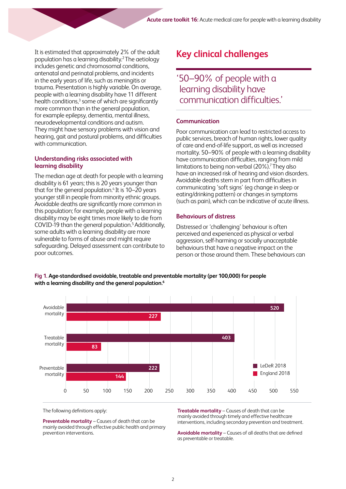It is estimated that approximately 2% of the adult population has a learning disability.2 The aetiology includes genetic and chromosomal conditions, antenatal and perinatal problems, and incidents in the early years of life, such as meningitis or trauma. Presentation is highly variable. On average, people with a learning disability have 11 different health conditions,<sup>3</sup> some of which are significantly more common than in the general population, for example epilepsy, dementia, mental illness, neurodevelopmental conditions and autism. They might have sensory problems with vision and hearing, gait and postural problems, and difficulties with communication.

#### **Understanding risks associated with learning disability**

The median age at death for people with a learning disability is 61 years; this is 20 years younger than that for the general population. $4$  It is 10–20 years younger still in people from minority ethnic groups. Avoidable deaths are significantly more common in this population; for example, people with a learning disability may be eight times more likely to die from COVID-19 than the general population.5 Additionally, some adults with a learning disability are more vulnerable to forms of abuse and might require safeguarding. Delayed assessment can contribute to poor outcomes.

## **Key clinical challenges**

'50–90% of people with a learning disability have communication difficulties.'

#### **Communication**

Poor communication can lead to restricted access to public services, breach of human rights, lower quality of care and end-of-life support, as well as increased mortality. 50–90% of people with a learning disability have communication difficulties, ranging from mild limitations to being non-verbal (20%).<sup>7</sup> They also have an increased risk of hearing and vision disorders. Avoidable deaths stem in part from difficulties in communicating 'soft signs' (eg change in sleep or eating/drinking pattern) or changes in symptoms (such as pain), which can be indicative of acute illness.

#### **Behaviours of distress**

Distressed or 'challenging' behaviour is often perceived and experienced as physical or verbal aggression, self-harming or socially unacceptable behaviours that have a negative impact on the person or those around them. These behaviours can



**Fig 1. Age-standardised avoidable, treatable and preventable mortality (per 100,000) for people** 



The following definitions apply:

**Preventable mortality** – Causes of death that can be mainly avoided through effective public health and primary prevention interventions.

**Treatable mortality** – Causes of death that can be mainly avoided through timely and effective healthcare interventions, including secondary prevention and treatment.

**Avoidable mortality** – Causes of all deaths that are defined as preventable or treatable.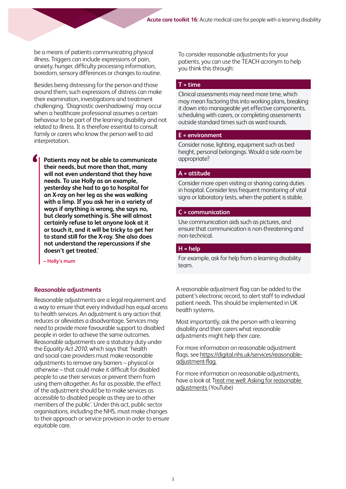be a means of patients communicating physical illness. Triggers can include expressions of pain, anxiety, hunger, difficulty processing information, boredom, sensory differences or changes to routine.

Besides being distressing for the person and those around them, such expressions of distress can make their examination, investigations and treatment challenging. 'Diagnostic overshadowing' may occur when a healthcare professional assumes a certain behaviour to be part of the learning disability and not related to illness. It is therefore essential to consult family or carers who know the person well to aid interpretation.

 **Patients may not be able to communicate their needs, but more than that, many will not even understand that they have needs. To use Holly as an example, yesterday she had to go to hospital for an X-ray on her leg as she was walking with a limp. If you ask her in a variety of ways if anything is wrong, she says no, but clearly something is. She will almost certainly refuse to let anyone look at it or touch it, and it will be tricky to get her to stand still for the X-ray. She also does not understand the repercussions if she doesn't get treated.'**

 **– Holly's mum**

#### **Reasonable adjustments**

Reasonable adjustments are a legal requirement and a way to ensure that every individual has equal access to health services. An adjustment is any action that reduces or alleviates a disadvantage. Services may need to provide more favourable support to disabled people in order to achieve the same outcomes. Reasonable adjustments are a statutory duty under the *Equality Act 2010*, which says that 'health and social care providers must make reasonable adjustments to remove any barriers – physical or otherwise – that could make it difficult for disabled people to use their services or prevent them from using them altogether. As far as possible, the effect of the adjustment should be to make services as accessible to disabled people as they are to other members of the public'. Under this act, public sector organisations, including the NHS, must make changes to their approach or service provision in order to ensure equitable care.

To consider reasonable adjustments for your patients, you can use the TEACH acronym to help you think this through:

#### **T = time**

Clinical assessments may need more time, which may mean factoring this into working plans, breaking it down into manageable yet effective components, scheduling with carers, or completing assessments outside standard times such as ward rounds.

#### **E = environment**

Consider noise, lighting, equipment such as bed height, personal belongings. Would a side room be appropriate?

#### **A = attitude**

Consider more open visiting or sharing caring duties in hospital. Consider less frequent monitoring of vital signs or laboratory tests, when the patient is stable.

#### **C = communication**

Use communication aids such as pictures, and ensure that communication is non-threatening and non-technical.

#### **H = help**

For example, ask for help from a learning disability team.

A reasonable adjustment flag can be added to the patient's electronic record, to alert staff to individual patient needs. This should be implemented in UK health systems.

Most importantly, ask the person with a learning disability and their carers what reasonable adjustments might help their care.

For more information on reasonable adjustment flags, see [https://digital.nhs.uk/services/reasonable](https://digital.nhs.uk/services/reasonable-adjustment-flag)[adjustment-flag](https://digital.nhs.uk/services/reasonable-adjustment-flag)

For more information on reasonable adjustments, have a look at Treat me well: Asking for reasonable [adjustments \(YouTube](https://www.youtube.com/watch?v=DMV06K1oanA))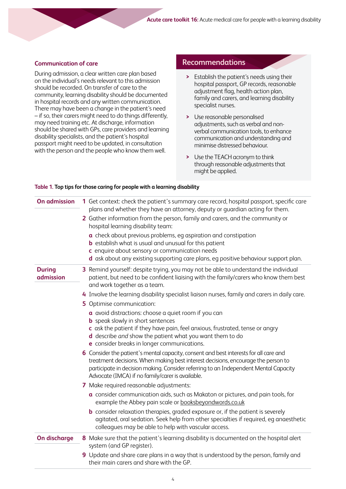#### **Communication of care**

During admission, a clear written care plan based on the individual's needs relevant to this admission should be recorded. On transfer of care to the community, learning disability should be documented in hospital records and any written communication. There may have been a change in the patient's need – if so, their carers might need to do things differently, may need training etc. At discharge, information should be shared with GPs, care providers and learning disability specialists, and the patient's hospital passport might need to be updated, in consultation with the person and the people who know them well.

#### **Recommendations**

- **>** Establish the patient's needs using their hospital passport, GP records, reasonable adjustment flag, health action plan, family and carers, and learning disability specialist nurses.
- **>** Use reasonable personalised adjustments, such as verbal and nonverbal communication tools, to enhance communication and understanding and minimise distressed behaviour.
- **>** Use the TEACH acronym to think through reasonable adjustments that might be applied.

| <b>On admission</b>        | 1 Get context: check the patient's summary care record, hospital passport, specific care<br>plans and whether they have an attorney, deputy or guardian acting for them.<br>2 Gather information from the person, family and carers, and the community or<br>hospital learning disability team:<br>a check about previous problems, eq aspiration and constipation<br><b>b</b> establish what is usual and unusual for this patient<br>c enquire about sensory or communication needs<br>d ask about any existing supporting care plans, eg positive behaviour support plan.                                                                                                                                                                                                                                                                                                                                                                                                                                                                                                                                                                                                                                                                                                                                                                                                                           |
|----------------------------|--------------------------------------------------------------------------------------------------------------------------------------------------------------------------------------------------------------------------------------------------------------------------------------------------------------------------------------------------------------------------------------------------------------------------------------------------------------------------------------------------------------------------------------------------------------------------------------------------------------------------------------------------------------------------------------------------------------------------------------------------------------------------------------------------------------------------------------------------------------------------------------------------------------------------------------------------------------------------------------------------------------------------------------------------------------------------------------------------------------------------------------------------------------------------------------------------------------------------------------------------------------------------------------------------------------------------------------------------------------------------------------------------------|
| <b>During</b><br>admission | 3 Remind yourself: despite trying, you may not be able to understand the individual<br>patient, but need to be confident liaising with the family/carers who know them best<br>and work together as a team.<br>4 Involve the learning disability specialist liaison nurses, family and carers in daily care.<br>5 Optimise communication:<br>a avoid distractions: choose a quiet room if you can<br><b>b</b> speak slowly in short sentences<br>c ask the patient if they have pain, feel anxious, frustrated, tense or angry<br>d describe and show the patient what you want them to do<br>e consider breaks in longer communications.<br>6 Consider the patient's mental capacity, consent and best interests for all care and<br>treatment decisions. When making best interest decisions, encourage the person to<br>participate in decision making. Consider referring to an Independent Mental Capacity<br>Advocate (IMCA) if no family/carer is available.<br>7 Make required reasonable adjustments:<br>a consider communication aids, such as Makaton or pictures, and pain tools, for<br>example the Abbey pain scale or booksbeyondwords.co.uk<br><b>b</b> consider relaxation therapies, graded exposure or, if the patient is severely<br>agitated, oral sedation. Seek help from other specialties if required, eg anaesthetic<br>colleagues may be able to help with vascular access. |
| On discharge               | 8 Make sure that the patient's learning disability is documented on the hospital alert                                                                                                                                                                                                                                                                                                                                                                                                                                                                                                                                                                                                                                                                                                                                                                                                                                                                                                                                                                                                                                                                                                                                                                                                                                                                                                                 |
|                            | system (and GP register).<br>9 Update and share care plans in a way that is understood by the person, family and<br>their main carers and share with the GP.                                                                                                                                                                                                                                                                                                                                                                                                                                                                                                                                                                                                                                                                                                                                                                                                                                                                                                                                                                                                                                                                                                                                                                                                                                           |

#### **Table 1. Top tips for those caring for people with a learning disability**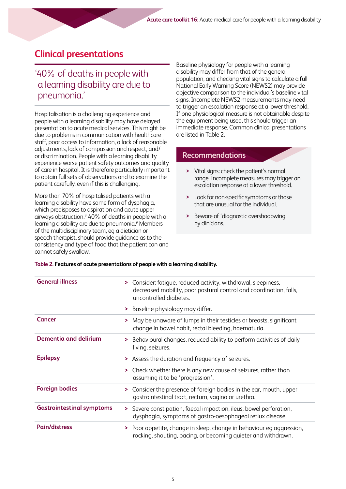### **Clinical presentations**

### '40% of deaths in people with a learning disability are due to pneumonia.'

Hospitalisation is a challenging experience and people with a learning disability may have delayed presentation to acute medical services. This might be due to problems in communication with healthcare staff, poor access to information, a lack of reasonable adjustments, lack of compassion and respect, and/ or discrimination. People with a learning disability experience worse patient safety outcomes and quality of care in hospital. It is therefore particularly important to obtain full sets of observations and to examine the patient carefully, even if this is challenging.

More than 70% of hospitalised patients with a learning disability have some form of dysphagia, which predisposes to aspiration and acute upper airways obstruction.<sup>8</sup> 40% of deaths in people with a learning disability are due to pneumonia.<sup>9</sup> Members of the multidisciplinary team, eg a dietician or speech therapist, should provide guidance as to the consistency and type of food that the patient can and cannot safely swallow.

Baseline physiology for people with a learning disability may differ from that of the general population, and checking vital signs to calculate a full National Early Warning Score (NEWS2) may provide objective comparison to the individual's baseline vital signs. Incomplete NEWS2 measurements may need to trigger an escalation response at a lower threshold. If one physiological measure is not obtainable despite the equipment being used, this should trigger an immediate response. Common clinical presentations are listed in Table 2.

#### **Recommendations**

- **>** Vital signs: check the patient's normal range. Incomplete measures may trigger an escalation response at a lower threshold.
- **>** Look for non-specific symptoms or those that are unusual for the individual.
- **>** Beware of 'diagnostic overshadowing' by clinicians.

| <b>General illness</b>           | Consider: fatigue, reduced activity, withdrawal, sleepiness,<br>⋗<br>decreased mobility, poor postural control and coordination, falls,<br>uncontrolled diabetes. |
|----------------------------------|-------------------------------------------------------------------------------------------------------------------------------------------------------------------|
|                                  | > Baseline physiology may differ.                                                                                                                                 |
| Cancer                           | May be unaware of lumps in their testicles or breasts, significant<br>⋗<br>change in bowel habit, rectal bleeding, haematuria.                                    |
| Dementia and delirium            | > Behavioural changes, reduced ability to perform activities of daily<br>living, seizures.                                                                        |
| <b>Epilepsy</b>                  | > Assess the duration and frequency of seizures.                                                                                                                  |
|                                  | Check whether there is any new cause of seizures, rather than<br>⋗<br>assuming it to be 'progression'.                                                            |
| <b>Foreign bodies</b>            | Consider the presence of foreign bodies in the ear, mouth, upper<br>≻<br>gastrointestinal tract, rectum, vagina or urethra.                                       |
| <b>Gastrointestinal symptoms</b> | > Severe constipation, faecal impaction, ileus, bowel perforation,<br>dysphagia, symptoms of gastro-oesophageal reflux disease.                                   |
| <b>Pain/distress</b>             | Poor appetite, change in sleep, change in behaviour eg aggression,<br>⋗<br>rocking, shouting, pacing, or becoming quieter and withdrawn.                          |
|                                  |                                                                                                                                                                   |

**Table 2. Features of acute presentations of people with a learning disability.**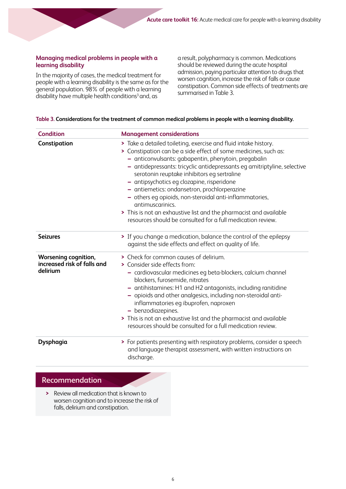#### **Managing medical problems in people with a learning disability**

In the majority of cases, the medical treatment for people with a learning disability is the same as for the general population. 98% of people with a learning disability have multiple health conditions<sup>3</sup> and, as

a result, polypharmacy is common. Medications should be reviewed during the acute hospital admission, paying particular attention to drugs that worsen cognition, increase the risk of falls or cause constipation. Common side effects of treatments are summarised in Table 3.

#### **Table 3. Considerations for the treatment of common medical problems in people with a learning disability.**

| <b>Condition</b>                                                | <b>Management considerations</b>                                                                                                                                                                                                                                                                                                                                                                                                                                                                                                                                                                                                       |
|-----------------------------------------------------------------|----------------------------------------------------------------------------------------------------------------------------------------------------------------------------------------------------------------------------------------------------------------------------------------------------------------------------------------------------------------------------------------------------------------------------------------------------------------------------------------------------------------------------------------------------------------------------------------------------------------------------------------|
| Constipation                                                    | > Take a detailed toileting, exercise and fluid intake history.<br>> Constipation can be a side effect of some medicines, such as:<br>- anticonvulsants: gabapentin, phenytoin, pregabalin<br>- antidepressants: tricyclic antidepressants eg amitriptyline, selective<br>serotonin reuptake inhibitors eg sertraline<br>- antipsychotics eg clozapine, risperidone<br>- antiemetics: ondansetron, prochlorperazine<br>- others eg opioids, non-steroidal anti-inflammatories,<br>antimuscarinics.<br>> This is not an exhaustive list and the pharmacist and available<br>resources should be consulted for a full medication review. |
| <b>Seizures</b>                                                 | > If you change a medication, balance the control of the epilepsy<br>against the side effects and effect on quality of life.                                                                                                                                                                                                                                                                                                                                                                                                                                                                                                           |
| Worsening cognition,<br>increased risk of falls and<br>delirium | > Check for common causes of delirium.<br>> Consider side effects from:<br>- cardiovascular medicines eg beta-blockers, calcium channel<br>blockers, furosemide, nitrates<br>- antihistamines: H1 and H2 antagonists, including ranitidine<br>- opioids and other analgesics, including non-steroidal anti-<br>inflammatories eg ibuprofen, naproxen<br>- benzodiazepines.<br>> This is not an exhaustive list and the pharmacist and available<br>resources should be consulted for a full medication review.                                                                                                                         |
| Dysphagia                                                       | > For patients presenting with respiratory problems, consider a speech<br>and language therapist assessment, with written instructions on<br>discharge.                                                                                                                                                                                                                                                                                                                                                                                                                                                                                |

#### **Recommendation**

**>** Review all medication that is known to worsen cognition and to increase the risk of falls, delirium and constipation.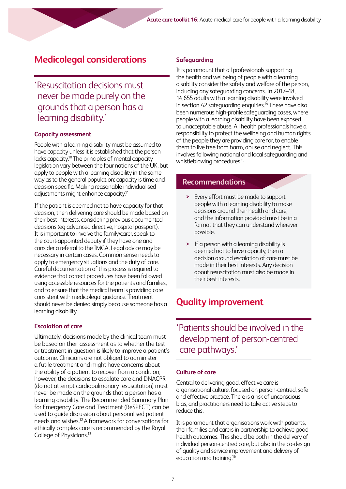### **Medicolegal considerations**

'Resuscitation decisions must never be made purely on the grounds that a person has a learning disability.'

#### **Capacity assessment**

People with a learning disability must be assumed to have capacity unless it is established that the person lacks capacity.<sup>10</sup> The principles of mental capacity legislation vary between the four nations of the UK, but apply to people with a learning disability in the same way as to the general population: capacity is time and decision specific. Making reasonable individualised adjustments might enhance capacity.11

If the patient is deemed not to have capacity for that decision, then delivering care should be made based on their best interests, considering previous documented decisions (eg advanced directive, hospital passport). It is important to involve the family/carer, speak to the court-appointed deputy if they have one and consider a referral to the IMCA. Legal advice may be necessary in certain cases. Common sense needs to apply to emergency situations and the duty of care. Careful documentation of this process is required to evidence that correct procedures have been followed using accessible resources for the patients and families, and to ensure that the medical team is providing care consistent with medicolegal guidance. Treatment should never be denied simply because someone has a learning disability.

#### **Escalation of care**

Ultimately, decisions made by the clinical team must be based on their assessment as to whether the test or treatment in question is likely to improve a patient's outcome. Clinicians are not obliged to administer a futile treatment and might have concerns about the ability of a patient to recover from a condition; however, the decisions to escalate care and DNACPR (do not attempt cardiopulmonary resuscitation) must never be made on the grounds that a person has a learning disability. The Recommended Summary Plan for Emergency Care and Treatment (ReSPECT) can be used to guide discussion about personalised patient needs and wishes.12 A framework for conversations for ethically complex care is recommended by the Royal College of Physicians.13

#### **Safeguarding**

It is paramount that all professionals supporting the health and wellbeing of people with a learning disability consider the safety and welfare of the person, including any safeguarding concerns. In 2017–18, 14,655 adults with a learning disability were involved in section 42 safeguarding enquiries.<sup>14</sup> There have also been numerous high-profile safeguarding cases, where people with a learning disability have been exposed to unacceptable abuse. All health professionals have a responsibility to protect the wellbeing and human rights of the people they are providing care for, to enable them to live free from harm, abuse and neglect. This involves following national and local safeguarding and whistleblowing procedures.<sup>15</sup>

### **Recommendations**

- **>** Every effort must be made to support people with a learning disability to make decisions around their health and care, and the information provided must be in a format that they can understand wherever possible.
- **>** If a person with a learning disability is deemed not to have capacity, then a decision around escalation of care must be made in their best interests. Any decision about resuscitation must also be made in their best interests.

### **Quality improvement**

'Patients should be involved in the development of person-centred care pathways.'

#### **Culture of care**

Central to delivering good, effective care is organisational culture, focused on person-centred, safe and effective practice. There is a risk of unconscious bias, and practitioners need to take active steps to reduce this.

It is paramount that organisations work with patients, their families and carers in partnership to achieve good health outcomes. This should be both in the delivery of individual person-centred care, but also in the co-design of quality and service improvement and delivery of education and training.16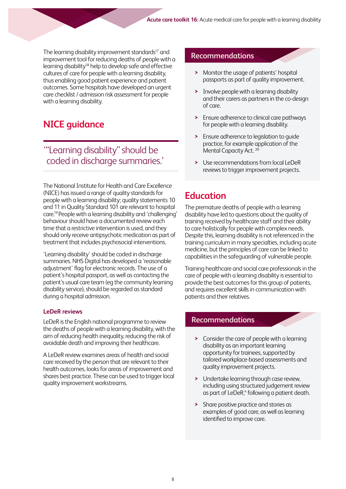The learning disability improvement standards<sup>17</sup> and<br>**Recommendations** improvement tool for reducing deaths of people with a learning disability<sup>18</sup> help to develop safe and effective cultures of care for people with a learning disability, thus enabling good patient experience and patient outcomes. Some hospitals have developed an urgent care checklist / admission risk assessment for people with a learning disability.

### **NICE guidance**

### '"Learning disability" should be coded in discharge summaries.'

The National Institute for Health and Care Excellence (NICE) has issued a range of quality standards for people with a learning disability; quality statements 10 and 11 in Quality Standard 101 are relevant to hospital care.19 People with a learning disability and 'challenging' behaviour should have a documented review each time that a restrictive intervention is used, and they should only receive antipsychotic medication as part of treatment that includes psychosocial interventions.

'Learning disability' should be coded in discharge summaries. NHS Digital has developed a 'reasonable adjustment' flag for electronic records. The use of a patient's hospital passport, as well as contacting the patient's usual care team (eg the community learning disability service), should be regarded as standard during a hospital admission.

#### **LeDeR reviews**

LeDeR is the English national programme to review the deaths of people with a learning disability, with the aim of reducing health inequality, reducing the risk of avoidable death and improving their healthcare.

A LeDeR review examines areas of health and social care received by the person that are relevant to their health outcomes, looks for areas of improvement and shares best practice. These can be used to trigger local quality improvement workstreams.

- **>** Monitor the usage of patients' hospital passports as part of quality improvement.
- **>** Involve people with a learning disability and their carers as partners in the co-design of care.
- **>** Ensure adherence to clinical care pathways for people with a learning disability.
- **>** Ensure adherence to legislation to guide practice, for example application of the Mental Capacity Act.<sup>20</sup>
- **>** Use recommendations from local LeDeR reviews to trigger improvement projects.

### **Education**

The premature deaths of people with a learning disability have led to questions about the quality of training received by healthcare staff and their ability to care holistically for people with complex needs. Despite this, learning disability is not referenced in the training curriculum in many specialties, including acute medicine, but the principles of care can be linked to capabilities in the safeguarding of vulnerable people.

Training healthcare and social care professionals in the care of people with a learning disability is essential to provide the best outcomes for this group of patients, and requires excellent skills in communication with patients and their relatives.

#### **Recommendations**

- **>** Consider the care of people with a learning disability as an important learning opportunity for trainees, supported by tailored workplace-based assessments and quality improvement projects.
- **>** Undertake learning through case review, including using structured judgement review as part of LeDeR,<sup>4</sup> following a patient death.
- **>** Share positive practice and stories as examples of good care, as well as learning identified to improve care.